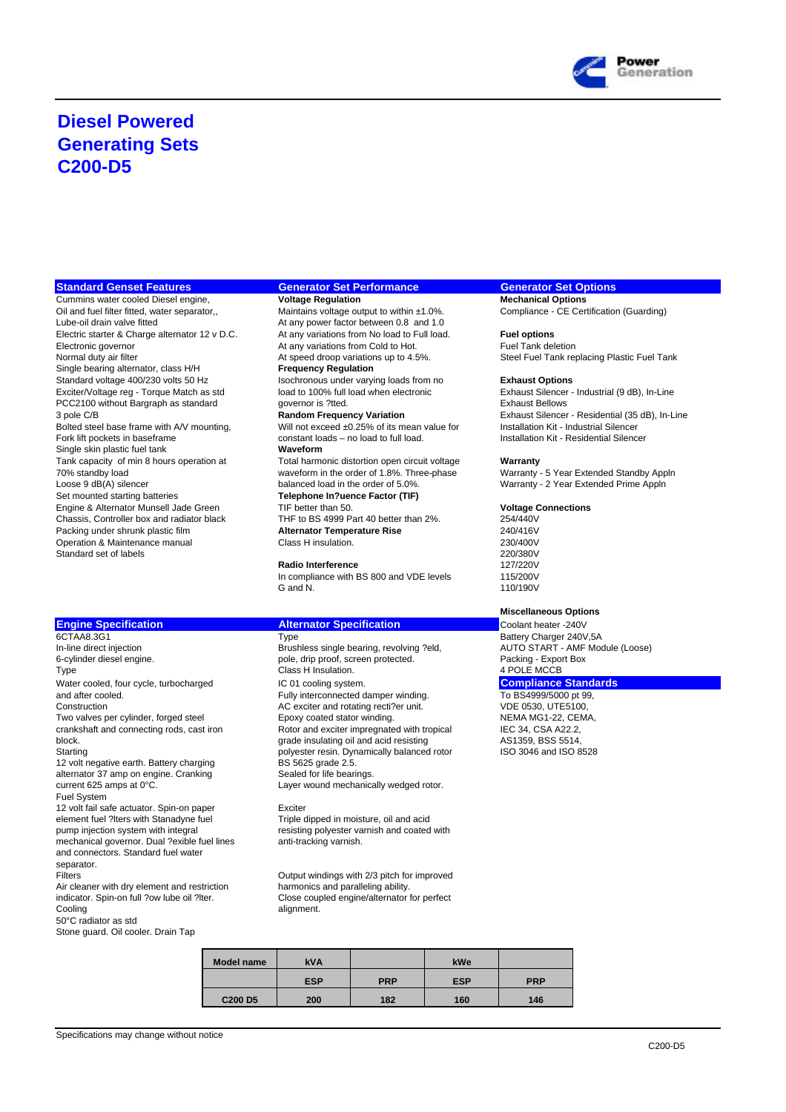

## **Diesel Powered Generating Sets C200-D5**

Cummins water cooled Diesel engine, **Voltage Regulation Mechanical Options**<br>
Oil and fuel filter fitted, water separator, Maintains voltage output to within ±1.0%. Compliance - CE Certification (Guarding) Oil and fuel filter fitted, water separator,, Maintains voltage output to within ±1.0%.<br>Cube-oil drain valve fitted At any power factor between 0.8 and 1.0 Electric starter & Charge alternator 12 v D.C. At any variations from No load to Full load. **Fuel options** Electronic governor **Electronic governor At any variations from Cold to Hot.** Fuel Tank deletion<br>
At speed droop variations up to 4.5%. Steel Fuel Tank re Single bearing alternator, class H/H **Frequency Regulation** Standard voltage 400/230 volts 50 Hz Isochronous under varying loads from no **Exhaust Options** Exciter/Voltage reg - Torque Match as std load to 100% full load when electronic Exhaust Silencer - Industrial (9 dB), In-Line<br>PCC2100 without Bargraph as standard governor is ?tted. Exhaust Bellows Exhaust Bellows PCC2100 without Bargraph as standard governor is ?tted.<br>3 pole C/B<br>**Random Frequency Variation** Bolted steel base frame with A/V mounting, Will not exceed ±0.25% of its mean value for Installation Kit - Industrial Silencer<br>Fork lift pockets in baseframe constant loads – no load to full load. Installation Kit - Reside **Single skin plastic fuel tank** Tank capacity of min 8 hours operation at Total harmonic distortion open circuit voltage **Warranty**<br>To waveform in the order of 1.8%. Three-phase Warranty Engine & Alternator Munsell Jade Green TIF better than 50. **Voltage Connections**<br>Chassis, Controller box and radiator black THF to BS 4999 Part 40 better than 2%. 254/440V Chassis, Controller box and radiator black THF to BS 4999 Part 40 better than 2%.<br>Packing under shrunk plastic film **Alternator Temperature Rise** 240/416V Packing under shrunk plastic film **Alternator Temperature Rise** 240/416V Operation & Maintenance manual Standard set of labels 220/380V<br>Radio Interference 220/380V<br>127/220V

## **Engine Specification Alternator Specification Coolant heater -240V Coolant heater -240V**

In-line direct injection and Brushless single bearing, revolving ?eld, AUTO START - AMF AUTO START - AMF Mode, drip proof, screen protected. All Packing - Export Box Type Class H Insulation. Water cooled, four cycle, turbocharged **IC 01** cooling system. **Compliance Standards** and after cooled. To BS4999/5000 pt 99,<br>Construction and the European Construction Construction Construction Construction Construction Construction Construction Construction Construction Construction Construction Construct Two valves per cylinder, forged steel Epoxy coated stator winding. MEMA MG1-22, CEMA, Crankshaft and connecting rods, cast iron Rotor and exciter impregnated with tropical IEC 34, CSA A22.2, block. **Grade insulating oil and acid resisting Constant AS1359, BSS 5514**, block. Starting balanced rotor and ISO 8528<br>12 volt negative earth. Battery charging BS 5625 grade 2.5. 12 volt negative earth. Battery charging BS 5625 grade 2.5.<br>
alternator 37 amp on engine. Cranking Sealed for life bearings. alternator 37 amp on engine. Cranking<br>current 625 amps at 0°C. Fuel System 12 volt fail safe actuator. Spin-on paper<br>
12 volt fail safe actuator. Spin-on paper<br>
Triple dipped in moisture, oil and acid element fuel ?lters with Stanadyne fuel<br>pump injection system with integral mechanical governor. Dual ?exible fuel lines and connectors. Standard fuel water separator.<br>Filters

Air cleaner with dry element and restriction<br>indicator. Spin-on full ?ow lube oil ?lter. Cooling alignment. 50°C radiator as std

Stone guard. Oil cooler. Drain Tap

### **Standard Genset Features Generator Set Performance Generator Set Options**

At any power factor between 0.8 and 1.0

constant loads – no load to full load.<br>Waveform

70% standby load waveform in the order of 1.8%. Three-phase Warranty - 5 Year Extended Standby Appln Loose 9 dB(A) silencer balanced load in the order of 5.0%.<br>Set mounted starting batteries **Telephone In ?uence Factor (TIF)** Set mounted starting batteries **Telephone In ?uence Factor (TIF) Telephone In?uence Factor (TIF)** 

### **Radio Interference**

In compliance with BS 800 and VDE levels 115/200V G and N. 110/190V

pole, drip proof, screen protected. <br>Class H Insulation. <br>4 POLE MCCB AC exciter and rotating recti?er unit. VDE 0530, UTE5100, Rotor and exciter impregnated with tropical Layer wound mechanically wedged rotor.

resisting polyester varnish and coated with anti-tracking varnish.

Output windings with 2/3 pitch for improved<br>harmonics and paralleling ability. indicated the parameters and produced close coupled engine/alternator for perfect

| Model name                      | <b>kVA</b> |            | kWe        |            |
|---------------------------------|------------|------------|------------|------------|
|                                 | <b>ESP</b> | <b>PRP</b> | <b>ESP</b> | <b>PRP</b> |
| C <sub>200</sub> D <sub>5</sub> | 200        | 182        | 160        | 146        |

Normal duty and the speed of the Atten Cheel Tank replacing Plastic Fuel Tank

3 pole C/B **Random Frequency Variation**<br>3 pole C/B Exhaust Silencer - Residential (35 dB), In-Line<br>3 pole and Expansion Cit - Industrial Silencer<br>3 will not exceed ±0.25% of its mean value for linetallation Kit - Industria

## **Miscellaneous Options**

6CTAA8.3G1 Type Battery Charger 240V,5A<br>
In-line direct injection Brushless single bearing, revolving ?eld, AUTO START - AMF Module (Loose)